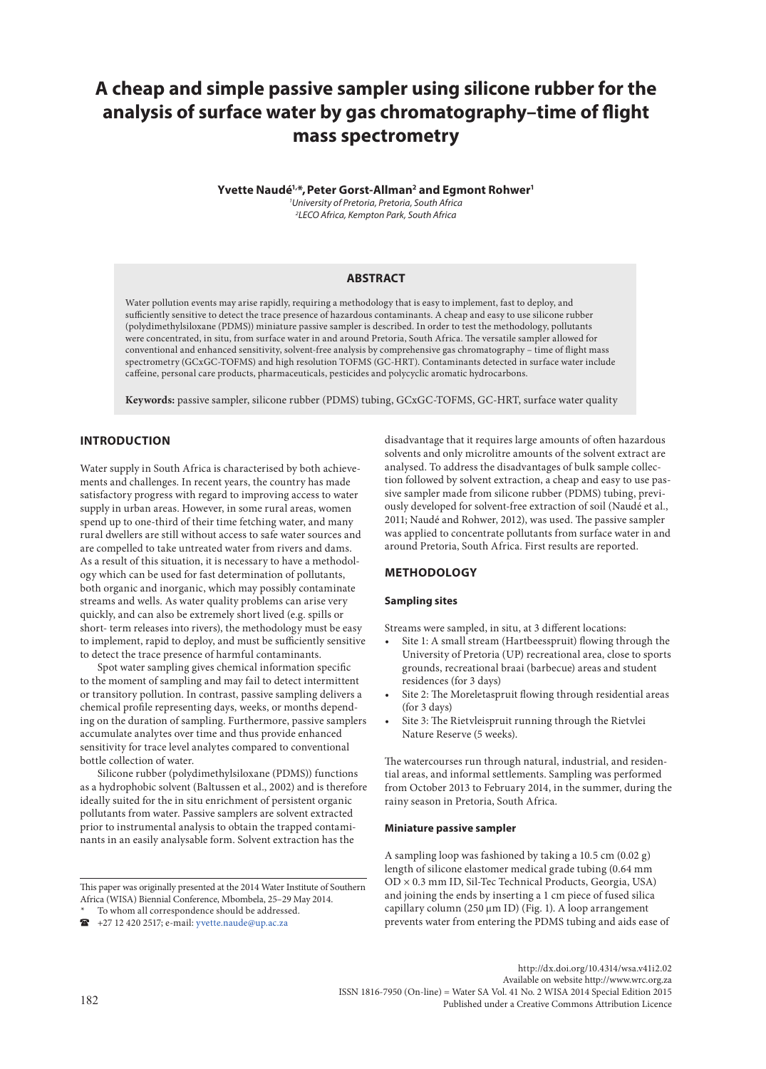# **A cheap and simple passive sampler using silicone rubber for the analysis of surface water by gas chromatography–time of flight mass spectrometry**

**Yvette Naudé1,\*,Peter Gorst-Allman2 and Egmont Rohwer1**

*1 University of Pretoria, Pretoria, South Africa 2 LECO Africa, Kempton Park, South Africa*

### **ABSTRACT**

Water pollution events may arise rapidly, requiring a methodology that is easy to implement, fast to deploy, and sufficiently sensitive to detect the trace presence of hazardous contaminants. A cheap and easy to use silicone rubber (polydimethylsiloxane (PDMS)) miniature passive sampler is described. In order to test the methodology, pollutants were concentrated, in situ, from surface water in and around Pretoria, South Africa. The versatile sampler allowed for conventional and enhanced sensitivity, solvent-free analysis by comprehensive gas chromatography – time of flight mass spectrometry (GCxGC-TOFMS) and high resolution TOFMS (GC-HRT). Contaminants detected in surface water include caffeine, personal care products, pharmaceuticals, pesticides and polycyclic aromatic hydrocarbons.

**Keywords:** passive sampler, silicone rubber (PDMS) tubing, GCxGC-TOFMS, GC-HRT, surface water quality

# **INTRODUCTION**

Water supply in South Africa is characterised by both achievements and challenges. In recent years, the country has made satisfactory progress with regard to improving access to water supply in urban areas. However, in some rural areas, women spend up to one-third of their time fetching water, and many rural dwellers are still without access to safe water sources and are compelled to take untreated water from rivers and dams. As a result of this situation, it is necessary to have a methodology which can be used for fast determination of pollutants, both organic and inorganic, which may possibly contaminate streams and wells. As water quality problems can arise very quickly, and can also be extremely short lived (e.g. spills or short- term releases into rivers), the methodology must be easy to implement, rapid to deploy, and must be sufficiently sensitive to detect the trace presence of harmful contaminants.

Spot water sampling gives chemical information specific to the moment of sampling and may fail to detect intermittent or transitory pollution. In contrast, passive sampling delivers a chemical profile representing days, weeks, or months depending on the duration of sampling. Furthermore, passive samplers accumulate analytes over time and thus provide enhanced sensitivity for trace level analytes compared to conventional bottle collection of water.

Silicone rubber (polydimethylsiloxane (PDMS)) functions as a hydrophobic solvent (Baltussen et al., 2002) and is therefore ideally suited for the in situ enrichment of persistent organic pollutants from water. Passive samplers are solvent extracted prior to instrumental analysis to obtain the trapped contaminants in an easily analysable form. Solvent extraction has the

This paper was originally presented at the 2014 Water Institute of Southern Africa (WISA) Biennial Conference, Mbombela, 25–29 May 2014.

disadvantage that it requires large amounts of often hazardous solvents and only microlitre amounts of the solvent extract are analysed. To address the disadvantages of bulk sample collection followed by solvent extraction, a cheap and easy to use passive sampler made from silicone rubber (PDMS) tubing, previously developed for solvent-free extraction of soil (Naudé et al., 2011; Naudé and Rohwer, 2012), was used. The passive sampler was applied to concentrate pollutants from surface water in and around Pretoria, South Africa. First results are reported.

# **METHODOLOGY**

### **Sampling sites**

Streams were sampled, in situ, at 3 different locations:

- Site 1: A small stream (Hartbeesspruit) flowing through the University of Pretoria (UP) recreational area, close to sports grounds, recreational braai (barbecue) areas and student residences (for 3 days)
- Site 2: The Moreletaspruit flowing through residential areas (for 3 days)
- Site 3: The Rietvleispruit running through the Rietvlei Nature Reserve (5 weeks).

The watercourses run through natural, industrial, and residential areas, and informal settlements. Sampling was performed from October 2013 to February 2014, in the summer, during the rainy season in Pretoria, South Africa.

### **Miniature passive sampler**

A sampling loop was fashioned by taking a 10.5 cm (0.02 g) length of silicone elastomer medical grade tubing (0.64 mm OD × 0.3 mm ID, Sil-Tec Technical Products, Georgia, USA) and joining the ends by inserting a 1 cm piece of fused silica capillary column (250  $\mu$ m ID) (Fig. 1). A loop arrangement prevents water from entering the PDMS tubing and aids ease of

To whom all correspondence should be addressed.

 <sup>+27 12 420 2517;</sup> e-mail: yvette.naude@up.ac.za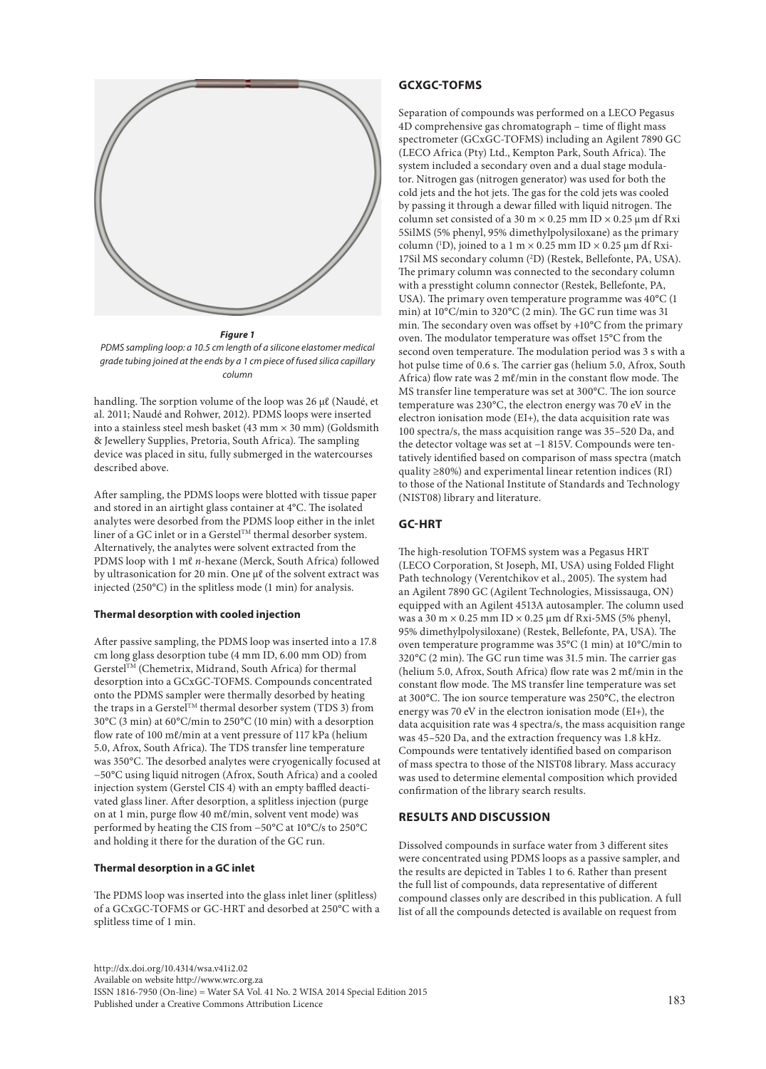

*Figure 1*

*PDMS sampling loop: a 10.5 cm length of a silicone elastomer medical grade tubing joined at the ends by a 1 cm piece of fused silica capillary column*

handling. The sorption volume of the loop was 26 µℓ (Naudé, et al. 2011; Naudé and Rohwer, 2012). PDMS loops were inserted into a stainless steel mesh basket (43 mm  $\times$  30 mm) (Goldsmith & Jewellery Supplies, Pretoria, South Africa). The sampling device was placed in situ*,* fully submerged in the watercourses described above.

After sampling, the PDMS loops were blotted with tissue paper and stored in an airtight glass container at 4°C. The isolated analytes were desorbed from the PDMS loop either in the inlet liner of a GC inlet or in a Gerstel™ thermal desorber system. Alternatively, the analytes were solvent extracted from the PDMS loop with 1 mℓ *n*-hexane (Merck, South Africa) followed by ultrasonication for 20 min. One µℓ of the solvent extract was injected (250°C) in the splitless mode (1 min) for analysis.

### **Thermal desorption with cooled injection**

After passive sampling, the PDMS loop was inserted into a 17.8 cm long glass desorption tube (4 mm ID, 6.00 mm OD) from Gerstel<sup>TM</sup> (Chemetrix, Midrand, South Africa) for thermal desorption into a GCxGC-TOFMS. Compounds concentrated onto the PDMS sampler were thermally desorbed by heating the traps in a Gerstel<sup>TM</sup> thermal desorber system (TDS 3) from 30°C (3 min) at 60°C/min to 250°C (10 min) with a desorption flow rate of 100 mℓ/min at a vent pressure of 117 kPa (helium 5.0, Afrox, South Africa). The TDS transfer line temperature was 350°C. The desorbed analytes were cryogenically focused at −50°C using liquid nitrogen (Afrox, South Africa) and a cooled injection system (Gerstel CIS 4) with an empty baffled deactivated glass liner. After desorption, a splitless injection (purge on at 1 min, purge flow 40 mℓ/min, solvent vent mode) was performed by heating the CIS from −50°C at 10°C/s to 250°C and holding it there for the duration of the GC run.

### **Thermal desorption in a GC inlet**

The PDMS loop was inserted into the glass inlet liner (splitless) of a GCxGC-TOFMS or GC-HRT and desorbed at 250°C with a splitless time of 1 min.

**GCxGC-TOFMS**

Separation of compounds was performed on a LECO Pegasus 4D comprehensive gas chromatograph – time of flight mass spectrometer (GCxGC-TOFMS) including an Agilent 7890 GC (LECO Africa (Pty) Ltd., Kempton Park, South Africa). The system included a secondary oven and a dual stage modulator. Nitrogen gas (nitrogen generator) was used for both the cold jets and the hot jets. The gas for the cold jets was cooled by passing it through a dewar filled with liquid nitrogen. The column set consisted of a 30 m  $\times$  0.25 mm ID  $\times$  0.25 µm df Rxi 5SilMS (5% phenyl, 95% dimethylpolysiloxane) as the primary column (<sup>1</sup>D), joined to a 1 m  $\times$  0.25 mm ID  $\times$  0.25 µm df Rxi-17Sil MS secondary column (2 D) (Restek, Bellefonte, PA, USA). The primary column was connected to the secondary column with a presstight column connector (Restek, Bellefonte, PA, USA). The primary oven temperature programme was 40°C (1 min) at 10°C/min to 320°C (2 min). The GC run time was 31 min. The secondary oven was offset by +10°C from the primary oven. The modulator temperature was offset 15°C from the second oven temperature. The modulation period was 3 s with a hot pulse time of 0.6 s. The carrier gas (helium 5.0, Afrox, South Africa) flow rate was 2 mℓ/min in the constant flow mode. The MS transfer line temperature was set at 300°C. The ion source temperature was 230°C, the electron energy was 70 eV in the electron ionisation mode (EI+), the data acquisition rate was 100 spectra/s, the mass acquisition range was 35–520 Da, and the detector voltage was set at −1 815V. Compounds were tentatively identified based on comparison of mass spectra (match quality ≥80%) and experimental linear retention indices (RI) to those of the National Institute of Standards and Technology (NIST08) library and literature.

# **GC-HRT**

The high-resolution TOFMS system was a Pegasus HRT (LECO Corporation, St Joseph, MI, USA) using Folded Flight Path technology (Verentchikov et al., 2005). The system had an Agilent 7890 GC (Agilent Technologies, Mississauga, ON) equipped with an Agilent 4513A autosampler. The column used was a 30 m × 0.25 mm ID × 0.25 µm df Rxi-5MS (5% phenyl, 95% dimethylpolysiloxane) (Restek, Bellefonte, PA, USA). The oven temperature programme was 35°C (1 min) at 10°C/min to 320°C (2 min). The GC run time was 31.5 min. The carrier gas (helium 5.0, Afrox, South Africa) flow rate was 2 mℓ/min in the constant flow mode. The MS transfer line temperature was set at 300°C. The ion source temperature was 250°C, the electron energy was 70 eV in the electron ionisation mode (EI+), the data acquisition rate was 4 spectra/s, the mass acquisition range was 45–520 Da, and the extraction frequency was 1.8 kHz. Compounds were tentatively identified based on comparison of mass spectra to those of the NIST08 library. Mass accuracy was used to determine elemental composition which provided confirmation of the library search results.

### **RESULTS AND DISCUSSION**

Dissolved compounds in surface water from 3 different sites were concentrated using PDMS loops as a passive sampler, and the results are depicted in Tables 1 to 6. Rather than present the full list of compounds, data representative of different compound classes only are described in this publication. A full list of all the compounds detected is available on request from

http://dx.doi.org/10.4314/wsa.v41i2.02 Available on website http://www.wrc.org.za ISSN 1816-7950 (On-line) = Water SA Vol. 41 No. 2 WISA 2014 Special Edition 2015 Published under a Creative Commons Attribution Licence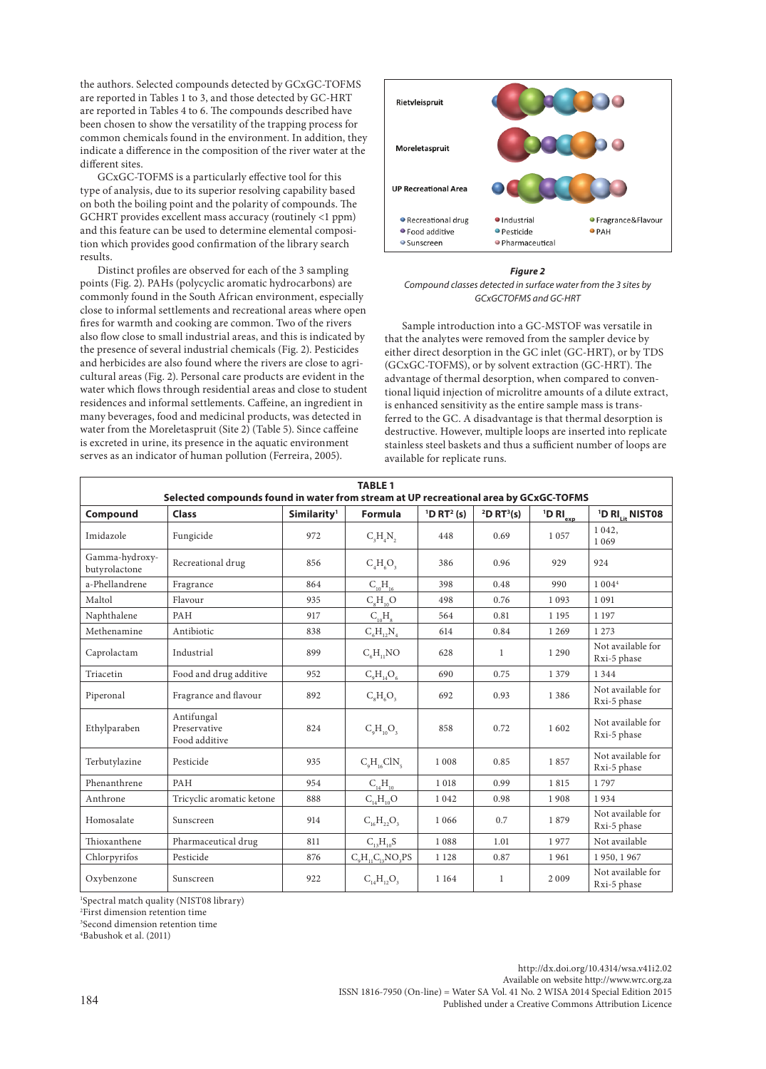the authors. Selected compounds detected by GCxGC-TOFMS are reported in Tables 1 to 3, and those detected by GC-HRT are reported in Tables 4 to 6. The compounds described have been chosen to show the versatility of the trapping process for common chemicals found in the environment. In addition, they indicate a difference in the composition of the river water at the different sites.

GCxGC-TOFMS is a particularly effective tool for this type of analysis, due to its superior resolving capability based on both the boiling point and the polarity of compounds. The GCHRT provides excellent mass accuracy (routinely <1 ppm) and this feature can be used to determine elemental composition which provides good confirmation of the library search results.

Distinct profiles are observed for each of the 3 sampling points (Fig. 2). PAHs (polycyclic aromatic hydrocarbons) are commonly found in the South African environment, especially close to informal settlements and recreational areas where open fires for warmth and cooking are common. Two of the rivers also flow close to small industrial areas, and this is indicated by the presence of several industrial chemicals (Fig. 2). Pesticides and herbicides are also found where the rivers are close to agricultural areas (Fig. 2). Personal care products are evident in the water which flows through residential areas and close to student residences and informal settlements. Caffeine, an ingredient in many beverages, food and medicinal products, was detected in water from the Moreletaspruit (Site 2) (Table 5). Since caffeine is excreted in urine, its presence in the aquatic environment serves as an indicator of human pollution (Ferreira, 2005).



### *Figure 2*

*Compound classes detected in surface water from the 3 sites by GCxGCTOFMS and GC-HRT*

Sample introduction into a GC-MSTOF was versatile in that the analytes were removed from the sampler device by either direct desorption in the GC inlet (GC-HRT), or by TDS (GCxGC-TOFMS), or by solvent extraction (GC-HRT). The advantage of thermal desorption, when compared to conventional liquid injection of microlitre amounts of a dilute extract, is enhanced sensitivity as the entire sample mass is transferred to the GC. A disadvantage is that thermal desorption is destructive. However, multiple loops are inserted into replicate stainless steel baskets and thus a sufficient number of loops are available for replicate runs.

| <b>TABLE 1</b><br>Selected compounds found in water from stream at UP recreational area by GCxGC-TOFMS |                                             |                         |                                  |                                    |                        |                                  |                                        |  |
|--------------------------------------------------------------------------------------------------------|---------------------------------------------|-------------------------|----------------------------------|------------------------------------|------------------------|----------------------------------|----------------------------------------|--|
| Compound                                                                                               | <b>Class</b>                                | Similarity <sup>1</sup> | Formula                          | $\overline{D}$ RT <sup>2</sup> (s) | 2D RT <sup>3</sup> (s) | <sup>1</sup> D RI <sub>exp</sub> | <sup>1</sup> D RI <sub>It</sub> NIST08 |  |
| Imidazole                                                                                              | Fungicide                                   | 972                     | $C_3H_4N_2$                      | 448                                | 0.69                   | 1 0 5 7                          | 1042.<br>1069                          |  |
| Gamma-hydroxy-<br>butyrolactone                                                                        | Recreational drug                           | 856                     | $C_4H_6O_3$                      | 386                                | 0.96                   | 929                              | 924                                    |  |
| a-Phellandrene                                                                                         | Fragrance                                   | 864                     | $C_{10}H_{16}$                   | 398                                | 0.48                   | 990                              | 1.004 <sup>4</sup>                     |  |
| Maltol                                                                                                 | Flavour                                     | 935                     | $C_{\rm e}H_{\rm no}O$           | 498                                | 0.76                   | 1093                             | 1091                                   |  |
| Naphthalene                                                                                            | PAH                                         | 917                     | $C_{10}H_8$                      | 564                                | 0.81                   | 1 1 9 5                          | 1 1 9 7                                |  |
| Methenamine                                                                                            | Antibiotic                                  | 838                     | $C_6H_{12}N_4$                   | 614                                | 0.84                   | 1 2 6 9                          | 1 2 7 3                                |  |
| Caprolactam                                                                                            | Industrial                                  | 899                     | $C_6H_{11}NO$                    | 628                                | 1                      | 1 2 9 0                          | Not available for<br>Rxi-5 phase       |  |
| Triacetin                                                                                              | Food and drug additive                      | 952                     | $C_9H_{14}O_6$                   | 690                                | 0.75                   | 1 3 7 9                          | 1344                                   |  |
| Piperonal                                                                                              | Fragrance and flavour                       | 892                     | $C_8H_6O_3$                      | 692                                | 0.93                   | 1386                             | Not available for<br>Rxi-5 phase       |  |
| Ethylparaben                                                                                           | Antifungal<br>Preservative<br>Food additive | 824                     | $C_9H_{10}O_3$                   | 858                                | 0.72                   | 1602                             | Not available for<br>Rxi-5 phase       |  |
| Terbutylazine                                                                                          | Pesticide                                   | 935                     | $C_{\rm g}H_{\rm 16}ClN_{\rm g}$ | 1008                               | 0.85                   | 1857                             | Not available for<br>Rxi-5 phase       |  |
| Phenanthrene                                                                                           | PAH                                         | 954                     | $C_{14}H_{10}$                   | 1 0 18                             | 0.99                   | 1815                             | 1797                                   |  |
| Anthrone                                                                                               | Tricyclic aromatic ketone                   | 888                     | $C_{14}H_{10}O$                  | 1042                               | 0.98                   | 1908                             | 1934                                   |  |
| Homosalate                                                                                             | Sunscreen                                   | 914                     | $C_{16}H_{22}O_3$                | 1066                               | 0.7                    | 1879                             | Not available for<br>Rxi-5 phase       |  |
| Thioxanthene                                                                                           | Pharmaceutical drug                         | 811                     | $C_{13}H_{10}S$                  | 1088                               | 1.01                   | 1977                             | Not available                          |  |
| Chlorpyrifos                                                                                           | Pesticide                                   | 876                     | $C_9H_{11}C_{13}NO_3PS$          | 1 1 2 8                            | 0.87                   | 1961                             | 1950, 1967                             |  |
| Oxybenzone                                                                                             | Sunscreen                                   | 922                     | $C_{14}H_{12}O_3$                | 1 1 6 4                            | 1                      | 2009                             | Not available for<br>Rxi-5 phase       |  |

1 Spectral match quality (NIST08 library)

2 First dimension retention time

3 Second dimension retention time

4 Babushok et al. (2011)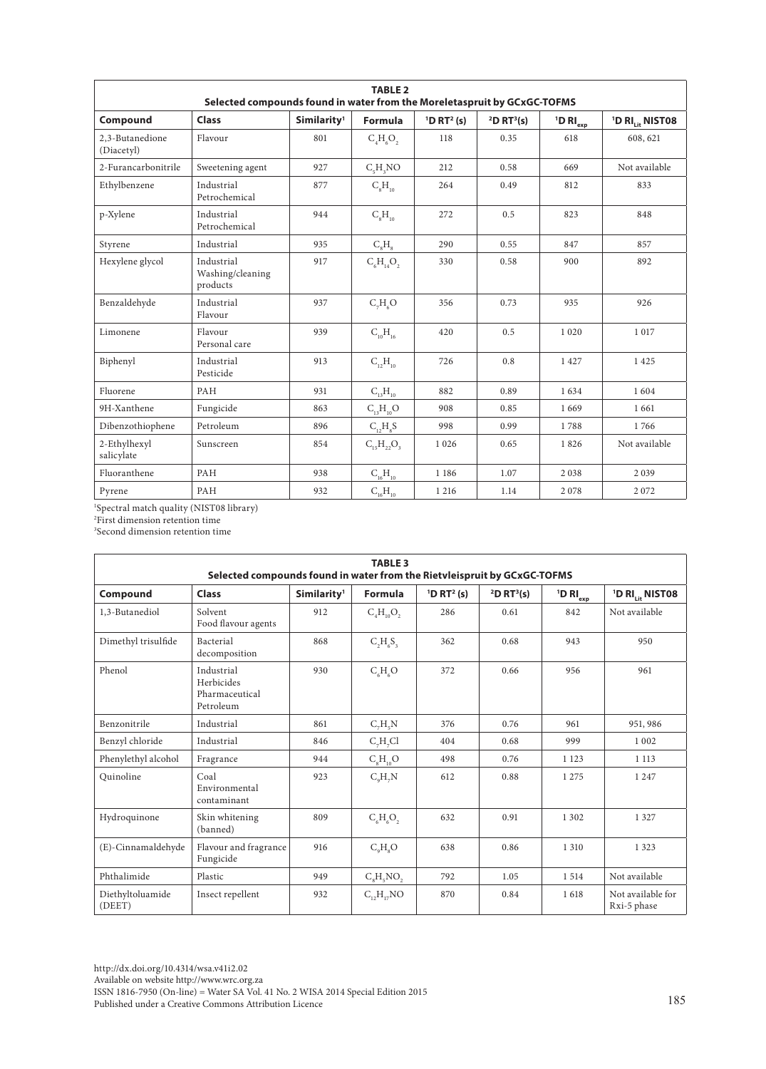| <b>TABLE 2</b><br>Selected compounds found in water from the Moreletaspruit by GCxGC-TOFMS |                                            |                         |                      |                                    |                        |                                       |                                         |  |
|--------------------------------------------------------------------------------------------|--------------------------------------------|-------------------------|----------------------|------------------------------------|------------------------|---------------------------------------|-----------------------------------------|--|
| Compound                                                                                   | <b>Class</b>                               | Similarity <sup>1</sup> | <b>Formula</b>       | <sup>1</sup> D RT <sup>2</sup> (s) | 2D RT <sup>3</sup> (s) | <sup>1</sup> D RI $_{\frac{\exp}{2}}$ | <sup>1</sup> D RI <sub>Lit</sub> NIST08 |  |
| 2.3-Butanedione<br>(Diacetyl)                                                              | Flavour                                    | 801                     | $C_4H_6O_2$          | 118                                | 0.35                   | 618                                   | 608, 621                                |  |
| 2-Furancarbonitrile                                                                        | Sweetening agent                           | 927                     | $C_{5}H_{3}NO$       | 212                                | 0.58                   | 669                                   | Not available                           |  |
| Ethylbenzene                                                                               | Industrial<br>Petrochemical                | 877                     | $C_{8}H_{10}$        | 264                                | 0.49                   | 812                                   | 833                                     |  |
| p-Xylene                                                                                   | Industrial<br>Petrochemical                | 944                     | $C_{8}H_{10}$        | 272                                | 0.5                    | 823                                   | 848                                     |  |
| Styrene                                                                                    | Industrial                                 | 935                     | $C_{\rm s}H_{\rm s}$ | 290                                | 0.55                   | 847                                   | 857                                     |  |
| Hexylene glycol                                                                            | Industrial<br>Washing/cleaning<br>products | 917                     | $C_6H_{14}O_2$       | 330                                | 0.58                   | 900                                   | 892                                     |  |
| Benzaldehyde                                                                               | Industrial<br>Flavour                      | 937                     | $C_7H_6O$            | 356                                | 0.73                   | 935                                   | 926                                     |  |
| Limonene                                                                                   | Flavour<br>Personal care                   | 939                     | $C_{10}H_{16}$       | 420                                | 0.5                    | 1 0 2 0                               | 1017                                    |  |
| Biphenyl                                                                                   | Industrial<br>Pesticide                    | 913                     | $C_{12}H_{10}$       | 726                                | 0.8                    | 1427                                  | 1425                                    |  |
| Fluorene                                                                                   | PAH                                        | 931                     | $C_{13}H_{10}$       | 882                                | 0.89                   | 1634                                  | 1604                                    |  |
| 9H-Xanthene                                                                                | Fungicide                                  | 863                     | $C_{13}H_{10}O$      | 908                                | 0.85                   | 1669                                  | 1661                                    |  |
| Dibenzothiophene                                                                           | Petroleum                                  | 896                     | $C_{12}H_8S$         | 998                                | 0.99                   | 1788                                  | 1766                                    |  |
| 2-Ethylhexyl<br>salicylate                                                                 | Sunscreen                                  | 854                     | $C_{15}H_{22}O_3$    | 1026                               | 0.65                   | 1826                                  | Not available                           |  |
| Fluoranthene                                                                               | PAH                                        | 938                     | $C_{16}H_{10}$       | 1 1 8 6                            | 1.07                   | 2038                                  | 2039                                    |  |
| Pyrene                                                                                     | PAH                                        | 932                     | $C_{16}H_{10}$       | 1 2 1 6                            | 1.14                   | 2078                                  | 2072                                    |  |

1 Spectral match quality (NIST08 library) 2 First dimension retention time

3 Second dimension retention time

| <b>TABLE 3</b><br>Selected compounds found in water from the Rietvleispruit by GCxGC-TOFMS |                                                         |                         |                       |                                    |                        |                                      |                                         |  |
|--------------------------------------------------------------------------------------------|---------------------------------------------------------|-------------------------|-----------------------|------------------------------------|------------------------|--------------------------------------|-----------------------------------------|--|
| Compound                                                                                   | <b>Class</b>                                            | Similarity <sup>1</sup> | Formula               | <sup>1</sup> D RT <sup>2</sup> (s) | 2D RT <sup>3</sup> (s) | <sup>1</sup> D RI $_{\frac{exp}{2}}$ | <sup>1</sup> D RI <sub>Lit</sub> NIST08 |  |
| 1.3-Butanediol                                                                             | Solvent<br>Food flavour agents                          | 912                     | $C_4H_{10}O_2$        | 286                                | 0.61                   | 842                                  | Not available                           |  |
| Dimethyl trisulfide                                                                        | Bacterial<br>decomposition                              | 868                     | $C_2H_6S_3$           | 362                                | 0.68                   | 943                                  | 950                                     |  |
| Phenol                                                                                     | Industrial<br>Herbicides<br>Pharmaceutical<br>Petroleum | 930                     | $C_{6}H_{6}O$         | 372                                | 0.66                   | 956                                  | 961                                     |  |
| Benzonitrile                                                                               | Industrial                                              | 861                     | $C_{7}H_{5}N$         | 376                                | 0.76                   | 961                                  | 951, 986                                |  |
| Benzyl chloride                                                                            | Industrial                                              | 846                     | $C_7H_7Cl$            | 404                                | 0.68                   | 999                                  | 1 0 0 2                                 |  |
| Phenylethyl alcohol                                                                        | Fragrance                                               | 944                     | $C_sH_{10}O$          | 498                                | 0.76                   | 1 1 2 3                              | 1 1 1 3                                 |  |
| Quinoline                                                                                  | Coal<br>Environmental<br>contaminant                    | 923                     | $C_{\rm q}H_{\rm z}N$ | 612                                | 0.88                   | 1 2 7 5                              | 1 2 4 7                                 |  |
| Hydroquinone                                                                               | Skin whitening<br>(banned)                              | 809                     | $C_6H_6O_2$           | 632                                | 0.91                   | 1 302                                | 1 3 2 7                                 |  |
| (E)-Cinnamaldehyde                                                                         | Flavour and fragrance<br>Fungicide                      | 916                     | $C_{\rm q}H_{\rm s}O$ | 638                                | 0.86                   | 1 3 1 0                              | 1 3 2 3                                 |  |
| Phthalimide                                                                                | Plastic                                                 | 949                     | $C_{8}H_{5}NO_{2}$    | 792                                | 1.05                   | 1 5 1 4                              | Not available                           |  |
| Diethyltoluamide<br>(DEET)                                                                 | Insect repellent                                        | 932                     | $C_{12}H_{17}NO$      | 870                                | 0.84                   | 1618                                 | Not available for<br>Rxi-5 phase        |  |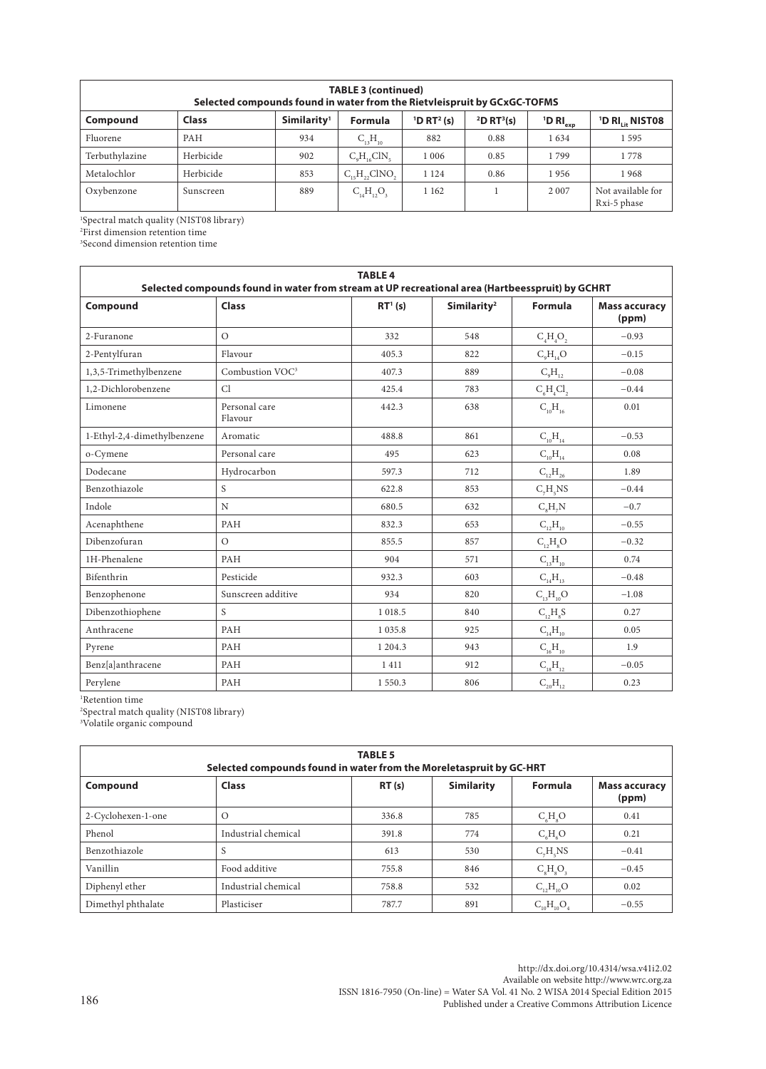| <b>TABLE 3 (continued)</b><br>Selected compounds found in water from the Rietvleispruit by GCxGC-TOFMS                                                                                                        |           |     |                                  |         |      |         |                                  |  |  |
|---------------------------------------------------------------------------------------------------------------------------------------------------------------------------------------------------------------|-----------|-----|----------------------------------|---------|------|---------|----------------------------------|--|--|
| $\mathrm{^{1}D}$ RT <sup>2</sup> (s)<br>2D RT <sup>3</sup> (s)<br><sup>1</sup> D RI<br><sup>1</sup> D RI <sub>II</sub> NIST08<br>Similarity <sup>1</sup><br><b>Class</b><br><b>Formula</b><br>Compound<br>exp |           |     |                                  |         |      |         |                                  |  |  |
| Fluorene                                                                                                                                                                                                      | PAH       | 934 | $C_{13}H_{10}$                   | 882     | 0.88 | 1634    | 1595                             |  |  |
| Terbuthylazine                                                                                                                                                                                                | Herbicide | 902 | $C_{\rm o}H_{\rm Lc}ClN_{\rm g}$ | 1006    | 0.85 | 1799    | 1778                             |  |  |
| Metalochlor                                                                                                                                                                                                   | Herbicide | 853 | $C_{15}H_{22}ClNO$               | 1 1 2 4 | 0.86 | 1956    | 1968                             |  |  |
| Oxybenzone                                                                                                                                                                                                    | Sunscreen | 889 | $C_{14}H_{12}O_3$                | 1 1 6 2 |      | 2 0 0 7 | Not available for<br>Rxi-5 phase |  |  |

1 Spectral match quality (NIST08 library)

2 First dimension retention time 3 Second dimension retention time

| <b>TABLE 4</b><br>Selected compounds found in water from stream at UP recreational area (Hartbeesspruit) by GCHRT |                             |             |                         |                                                                          |                               |  |  |
|-------------------------------------------------------------------------------------------------------------------|-----------------------------|-------------|-------------------------|--------------------------------------------------------------------------|-------------------------------|--|--|
| Compound                                                                                                          | <b>Class</b>                | $RT^1(s)$   | Similarity <sup>2</sup> | Formula                                                                  | <b>Mass accuracy</b><br>(ppm) |  |  |
| 2-Furanone                                                                                                        | $\Omega$                    | 332         | 548                     | $\rm C_4H_4O_2$                                                          | $-0.93$                       |  |  |
| 2-Pentylfuran                                                                                                     | Flavour                     | 405.3       | 822                     | $C_{9}H_{14}O$                                                           | $-0.15$                       |  |  |
| 1,3,5-Trimethylbenzene                                                                                            | Combustion VOC <sup>3</sup> | 407.3       | 889                     | $C_{9}H_{12}$                                                            | $-0.08$                       |  |  |
| 1,2-Dichlorobenzene                                                                                               | Cl                          | 425.4       | 783                     | $C_6H_4Cl_2$                                                             | $-0.44$                       |  |  |
| Limonene                                                                                                          | Personal care<br>Flavour    | 442.3       | 638                     | $C_{10}H_{16}$                                                           | 0.01                          |  |  |
| 1-Ethyl-2,4-dimethylbenzene                                                                                       | Aromatic                    | 488.8       | 861                     | $C_{10}H_{14}$                                                           | $-0.53$                       |  |  |
| o-Cymene                                                                                                          | Personal care               | 495         | 623                     | $\mathrm{C}_{\scriptscriptstyle{10}}\mathrm{H}_{\scriptscriptstyle{14}}$ | 0.08                          |  |  |
| Dodecane                                                                                                          | Hydrocarbon                 | 597.3       | 712                     | $C_{12}H_{26}$                                                           | 1.89                          |  |  |
| Benzothiazole                                                                                                     | S                           | 622.8       | 853                     | $C_7H_5NS$                                                               | $-0.44$                       |  |  |
| Indole                                                                                                            | N                           | 680.5       | 632                     | $C_sH_7N$                                                                | $-0.7$                        |  |  |
| Acenaphthene                                                                                                      | PAH                         | 832.3       | 653                     | $C_{12}H_{10}$                                                           | $-0.55$                       |  |  |
| Dibenzofuran                                                                                                      | $\Omega$                    | 855.5       | 857                     | $\rm C_{_{12}H_{_8}O}$                                                   | $-0.32$                       |  |  |
| 1H-Phenalene                                                                                                      | PAH                         | 904         | 571                     | $C_{13}H_{10}$                                                           | 0.74                          |  |  |
| Bifenthrin                                                                                                        | Pesticide                   | 932.3       | 603                     | $C_{14}H_{13}$                                                           | $-0.48$                       |  |  |
| Benzophenone                                                                                                      | Sunscreen additive          | 934         | 820                     | $C_{13}H_{10}O$                                                          | $-1.08$                       |  |  |
| Dibenzothiophene                                                                                                  | S                           | 1 018.5     | 840                     | $\rm C^{}_{12}H^{}_8S$                                                   | 0.27                          |  |  |
| Anthracene                                                                                                        | PAH                         | 1 0 3 5 . 8 | 925                     | $C_{14}H_{10}$                                                           | 0.05                          |  |  |
| Pyrene                                                                                                            | PAH                         | 1 2 0 4 . 3 | 943                     | $\mathrm{C}_{_{16}\mathrm{H}_{_{10}}}$                                   | 1.9                           |  |  |
| Benz[a]anthracene                                                                                                 | PAH                         | 1411        | 912                     | $C_{18}H_{12}$                                                           | $-0.05$                       |  |  |
| Perylene                                                                                                          | PAH                         | 1550.3      | 806                     | $\mathrm{C}_{\mathrm{20}}\mathrm{H}_{\mathrm{12}}$                       | 0.23                          |  |  |

1 Retention time 2 Spectral match quality (NIST08 library) 3 Volatile organic compound

| <b>TABLE 5</b><br>Selected compounds found in water from the Moreletaspruit by GC-HRT |                     |       |                   |                               |                               |  |  |  |
|---------------------------------------------------------------------------------------|---------------------|-------|-------------------|-------------------------------|-------------------------------|--|--|--|
| Compound                                                                              | <b>Class</b>        | RT(s) | <b>Similarity</b> | Formula                       | <b>Mass accuracy</b><br>(ppm) |  |  |  |
| 2-Cyclohexen-1-one                                                                    | O                   | 336.8 | 785               | $C_{\epsilon}H_{\epsilon}O$   | 0.41                          |  |  |  |
| Phenol                                                                                | Industrial chemical | 391.8 | 774               | $C_{6}H_{6}O$                 | 0.21                          |  |  |  |
| Benzothiazole                                                                         | S                   | 613   | 530               | $C_7H_5NS$                    | $-0.41$                       |  |  |  |
| Vanillin                                                                              | Food additive       | 755.8 | 846               | $C_{\rm s}H_{\rm s}O_{\rm s}$ | $-0.45$                       |  |  |  |
| Diphenyl ether                                                                        | Industrial chemical | 758.8 | 532               | $C_{12}H_{10}O$               | 0.02                          |  |  |  |
| Dimethyl phthalate                                                                    | Plasticiser         | 787.7 | 891               | $C_{10}H_{10}O$               | $-0.55$                       |  |  |  |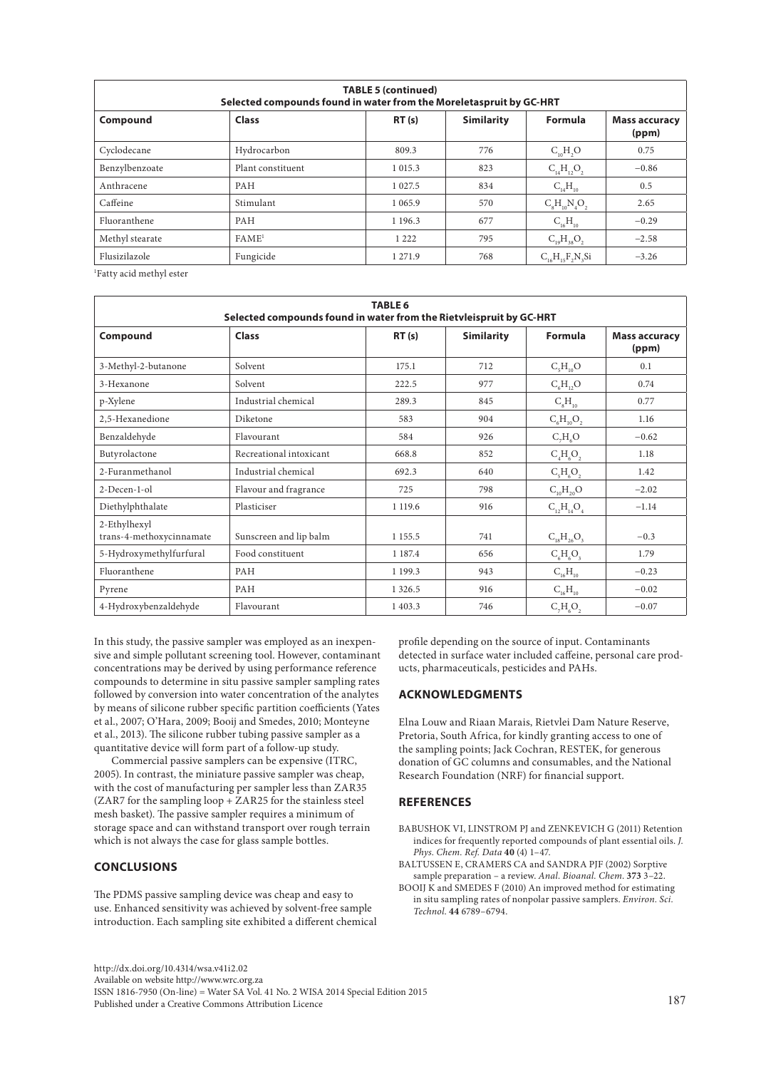| <b>TABLE 5 (continued)</b><br>Selected compounds found in water from the Moreletaspruit by GC-HRT |                   |             |                   |                        |                               |  |  |
|---------------------------------------------------------------------------------------------------|-------------------|-------------|-------------------|------------------------|-------------------------------|--|--|
| Compound                                                                                          | <b>Class</b>      | RT(s)       | <b>Similarity</b> | Formula                | <b>Mass accuracy</b><br>(ppm) |  |  |
| Cyclodecane                                                                                       | Hydrocarbon       | 809.3       | 776               | $C_{10}H_{2}O$         | 0.75                          |  |  |
| Benzylbenzoate                                                                                    | Plant constituent | 1 015.3     | 823               | $C_{14}H_{12}O_2$      | $-0.86$                       |  |  |
| Anthracene                                                                                        | PAH               | 1 0 2 7.5   | 834               | $C_{14}H_{10}$         | 0.5                           |  |  |
| Caffeine                                                                                          | Stimulant         | 1 0 6 5 .9  | 570               | $C_8H_{10}N_4O_2$      | 2.65                          |  |  |
| Fluoranthene                                                                                      | PAH               | 1 1 9 6 . 3 | 677               | $C_{16}H_{10}$         | $-0.29$                       |  |  |
| Methyl stearate                                                                                   | FAME <sup>1</sup> | 1 2 2 2     | 795               | $C_{19}H_{38}O_2$      | $-2.58$                       |  |  |
| Flusizilazole                                                                                     | Fungicide         | 1 271.9     | 768               | $C_{16}H_{15}F_2N_3Si$ | $-3.26$                       |  |  |

1 Fatty acid methyl ester

| <b>TABLE 6</b><br>Selected compounds found in water from the Rietvleispruit by GC-HRT |                         |             |                   |                   |                               |  |  |  |
|---------------------------------------------------------------------------------------|-------------------------|-------------|-------------------|-------------------|-------------------------------|--|--|--|
| Compound                                                                              | Class                   | RT(s)       | <b>Similarity</b> | Formula           | <b>Mass accuracy</b><br>(ppm) |  |  |  |
| 3-Methyl-2-butanone                                                                   | Solvent                 | 175.1       | 712               | $C_5H_{10}O$      | 0.1                           |  |  |  |
| 3-Hexanone                                                                            | Solvent                 | 222.5       | 977               | $C_6H_{12}O$      | 0.74                          |  |  |  |
| p-Xylene                                                                              | Industrial chemical     | 289.3       | 845               | $C_{8}H_{10}$     | 0.77                          |  |  |  |
| 2.5-Hexanedione                                                                       | Diketone                | 583         | 904               | $C_6H_{10}O_2$    | 1.16                          |  |  |  |
| Benzaldehyde                                                                          | Flavourant              | 584         | 926               | $C_7H_6O$         | $-0.62$                       |  |  |  |
| Butyrolactone                                                                         | Recreational intoxicant | 668.8       | 852               | $C_4H_6O_2$       | 1.18                          |  |  |  |
| 2-Furanmethanol                                                                       | Industrial chemical     | 692.3       | 640               | $C_5H_6O_2$       | 1.42                          |  |  |  |
| 2-Decen-1-ol                                                                          | Flavour and fragrance   | 725         | 798               | $C_{10}H_{20}O$   | $-2.02$                       |  |  |  |
| Diethylphthalate                                                                      | Plasticiser             | 1 1 1 9 . 6 | 916               | $C_{12}H_{14}O_4$ | $-1.14$                       |  |  |  |
| 2-Ethylhexyl<br>trans-4-methoxycinnamate                                              | Sunscreen and lip balm  | 1 1 5 5 . 5 | 741               | $C_{18}H_{26}O_3$ | $-0.3$                        |  |  |  |
| 5-Hydroxymethylfurfural                                                               | Food constituent        | 1 1 8 7 . 4 | 656               | $C_6H_6O_3$       | 1.79                          |  |  |  |
| Fluoranthene                                                                          | PAH                     | 1 199.3     | 943               | $C_{16}H_{10}$    | $-0.23$                       |  |  |  |
| Pyrene                                                                                | PAH                     | 1 3 2 6 .5  | 916               | $C_{16}H_{10}$    | $-0.02$                       |  |  |  |
| 4-Hydroxybenzaldehyde                                                                 | Flavourant              | 1 403.3     | 746               | $C_7H_6O_2$       | $-0.07$                       |  |  |  |

In this study, the passive sampler was employed as an inexpensive and simple pollutant screening tool. However, contaminant concentrations may be derived by using performance reference compounds to determine in situ passive sampler sampling rates followed by conversion into water concentration of the analytes by means of silicone rubber specific partition coefficients (Yates et al., 2007; O'Hara, 2009; Booij and Smedes, 2010; Monteyne et al., 2013). The silicone rubber tubing passive sampler as a quantitative device will form part of a follow-up study.

Commercial passive samplers can be expensive (ITRC, 2005). In contrast, the miniature passive sampler was cheap, with the cost of manufacturing per sampler less than ZAR35 (ZAR7 for the sampling loop + ZAR25 for the stainless steel mesh basket). The passive sampler requires a minimum of storage space and can withstand transport over rough terrain which is not always the case for glass sample bottles.

# **CONCLUSIONS**

The PDMS passive sampling device was cheap and easy to use. Enhanced sensitivity was achieved by solvent-free sample introduction. Each sampling site exhibited a different chemical

http://dx.doi.org/10.4314/wsa.v41i2.02 Available on website http://www.wrc.org.za ISSN 1816-7950 (On-line) = Water SA Vol. 41 No. 2 WISA 2014 Special Edition 2015 Published under a Creative Commons Attribution Licence

profile depending on the source of input. Contaminants detected in surface water included caffeine, personal care products, pharmaceuticals, pesticides and PAHs.

# **ACKNOWLEDGMENTS**

Elna Louw and Riaan Marais, Rietvlei Dam Nature Reserve, Pretoria, South Africa, for kindly granting access to one of the sampling points; Jack Cochran, RESTEK, for generous donation of GC columns and consumables, and the National Research Foundation (NRF) for financial support.

### **REFERENCES**

- BABUSHOK VI, LINSTROM PJ and ZENKEVICH G (2011) Retention indices for frequently reported compounds of plant essential oils. *J. Phys. Chem. Ref. Data* **40** (4) 1–47.
- BALTUSSEN E, CRAMERS CA and SANDRA PJF (2002) Sorptive sample preparation – a review. *Anal. Bioanal. Chem*. **373** 3–22.
- BOOIJ K and SMEDES F (2010) An improved method for estimating in situ sampling rates of nonpolar passive samplers. *Environ. Sci. Technol*. **44** 6789–6794.